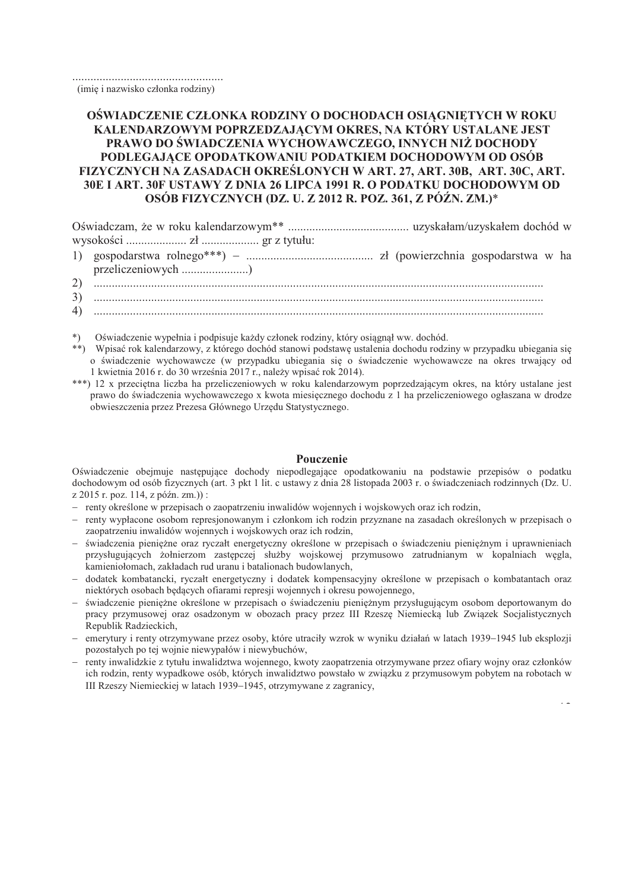(imie i nazwisko członka rodziny)

## OŚWIADCZENIE CZŁONKA RODZINY O DOCHODACH OSIAGNIETYCH W ROKU KALENDARZOWYM POPRZEDZAJĄCYM OKRES, NA KTÓRY USTALANE JEST PRAWO DO ŚWIADCZENIA WYCHOWAWCZEGO, INNYCH NIŻ DOCHODY PODLEGAJACE OPODATKOWANIU PODATKIEM DOCHODOWYM OD OSÓB FIZYCZNYCH NA ZASADACH OKREŚLONYCH W ART. 27, ART. 30B, ART. 30C, ART. 30E I ART. 30F USTAWY Z DNIA 26 LIPCA 1991 R. O PODATKU DOCHODOWYM OD OSÓB FIZYCZNYCH (DZ. U. Z 2012 R. POZ. 361, Z PÓŹN. ZM.)\*

- $(2)$
- 
- 
- \*) Oświadczenie wypełnia i podpisuje każdy członek rodziny, który osiągnął ww. dochód.
- \*\*) Wpisać rok kalendarzowy, z którego dochód stanowi podstawę ustalenia dochodu rodziny w przypadku ubiegania się o świadczenie wychowawcze (w przypadku ubiegania się o świadczenie wychowawcze na okres trwający od 1 kwietnia 2016 r. do 30 września 2017 r., należy wpisać rok 2014).
- \*\*\*) 12 x przeciętna liczba ha przeliczeniowych w roku kalendarzowym poprzedzającym okres, na który ustalane jest prawo do świadczenia wychowawczego x kwota miesiecznego dochodu z 1 ha przeliczeniowego ogłaszana w drodze obwieszczenia przez Prezesa Głównego Urzędu Statystycznego.

## Pouczenie

Oświadczenie obejmuje następujące dochody niepodlegające opodatkowaniu na podstawie przepisów o podatku dochodowym od osób fizycznych (art. 3 pkt 1 lit. c ustawy z dnia 28 listopada 2003 r. o świadczeniach rodzinnych (Dz. U.  $z$  2015 r. poz. 114. z późn. zm.)):

- renty określone w przepisach o zaopatrzeniu inwalidów wojennych i wojskowych oraz ich rodzin,
- renty wypłacone osobom represjonowanym i członkom ich rodzin przyznane na zasadach określonych w przepisach o zaopatrzeniu inwalidów wojennych i wojskowych oraz ich rodzin,
- świadczenia pienieżne oraz ryczałt energetyczny określone w przepisach o świadczeniu pienieżnym i uprawnieniach przysługujących żołnierzom zastępczej służby wojskowej przymusowo zatrudnianym w kopalniach węgla, kamieniołomach, zakładach rud uranu i batalionach budowlanych,
- dodatek kombatancki, ryczałt energetyczny i dodatek kompensacyjny określone w przepisach o kombatantach oraz niektórych osobach bedacych ofiarami represji wojennych i okresu powojennego,
- świadczenie pieniężne określone w przepisach o świadczeniu pieniężnym przysługującym osobom deportowanym do pracy przymusowej oraz osadzonym w obozach pracy przez III Rzeszę Niemiecką lub Związek Socjalistycznych Republik Radzieckich,
- emerytury i renty otrzymywane przez osoby, które utraciły wzrok w wyniku działań w latach 1939–1945 lub eksplozii pozostałych po tej wojnie niewypałów i niewybuchów,
- renty inwalidzkie z tytułu inwalidztwa wojennego, kwoty zaopatrzenia otrzymywane przez ofiary wojny oraz członków ich rodzin, renty wypadkowe osób, których inwalidztwo powstało w związku z przymusowym pobytem na robotach w III Rzeszy Niemieckiej w latach 1939-1945, otrzymywane z zagranicy,

 $\bar{z}$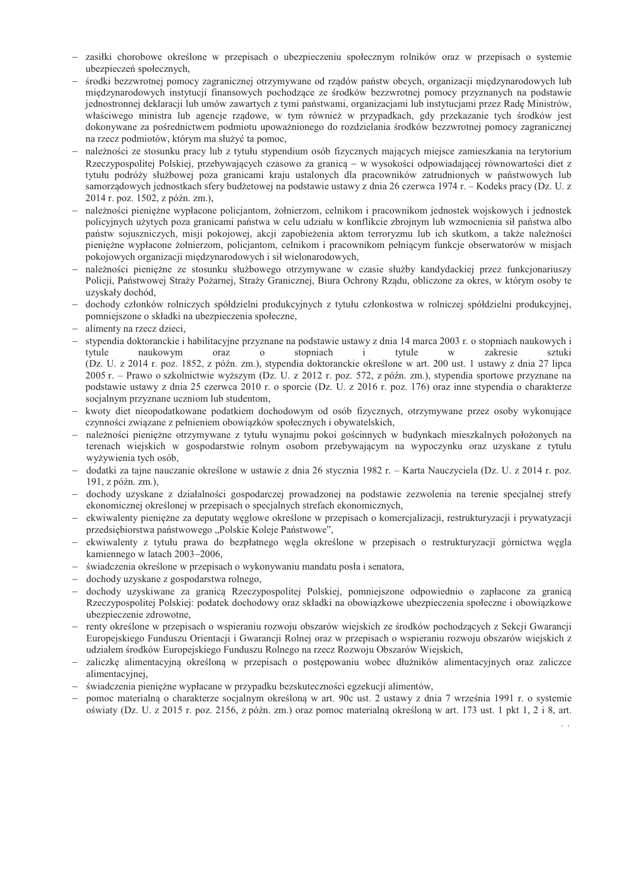- zasiłki chorobowe określone w przepisach o ubezpieczeniu społecznym rolników oraz w przepisach o systemie ubezpieczeń społecznych.
- środki bezzwrotnej pomocy zagranicznej otrzymywane od rzadów państw obcych, organizacji miedzynarodowych lub miedzvnarodowych instytucji finansowych pochodzące ze środków bezzwrotnej pomocy przyznanych na podstawie jednostronnej deklaracji lub umów zawartych z tymi państwami, organizacjami lub instytuciami przez Rade Ministrów, właściwego ministra lub agencje rzadowe, w tym również w przypadkach, gdy przekazanie tych środków jest dokonywane za pośrednictwem podmiotu upoważnionego do rozdzielania środków bezzwrotnej pomocy zagranicznej na rzecz podmiotów, którym ma służyć ta pomoc,
- należności ze stosunku pracy lub z tytułu stypendium osób fizycznych mających miejsce zamieszkania na terytorium Rzeczypospolitej Polskiej, przebywających czasowo za granica – w wysokości odpowiadającej równowartości diet z tytułu podróży służbowej poza granicami kraju ustalonych dla pracowników zatrudnionych w państwowych lub samorządowych jednostkach sfery budżetowej na podstawie ustawy z dnia 26 czerwca 1974 r. – Kodeks pracy (Dz. U. z 2014 r. poz. 1502, z późn. zm.),
- należności pienieżne wypłacone policjantom, żołnierzom, celnikom i pracownikom jednostek wojskowych i jednostek policyjnych użytych poza granicami państwa w celu udziału w konflikcie zbrojnym lub wzmocnienia sił państwa albo państw sojuszniczych, misji pokojowej, akcji zapobieżenia aktom terroryzmu lub ich skutkom, a także należności pieniężne wypłacone żołnierzom, policjantom, celnikom i pracownikom pełniącym funkcje obserwatorów w misjach pokojowych organizacji międzynarodowych i sił wielonarodowych,
- należności pieniężne ze stosunku służbowego otrzymywane w czasie służby kandydackiej przez funkcjonariuszy Policji, Państwowej Straży Pożarnej, Straży Granicznej, Biura Ochrony Rządu, obliczone za okres, w którym osoby te uzyskały dochód,
- dochody członków rolniczych spółdzielni produkcyjnych z tytułu członkostwa w rolniczej spółdzielni produkcyjnej, pomniejszone o składki na ubezpieczenia społeczne,
- alimenty na rzecz dzieci,
- stypendia doktoranckie i habilitacyjne przyznane na podstawie ustawy z dnia 14 marca 2003 r. o stopniach naukowych i tytule naukowym oraz  $\overline{O}$ stopniach  $\mathbf{i}$ tytule zakresie sztuki W (Dz. U. z 2014 r. poz. 1852, z późn. zm.), stypendia doktoranckie określone w art. 200 ust. 1 ustawy z dnia 27 lipca 2005 r. – Prawo o szkolnictwie wyższym (Dz. U. z 2012 r. poz. 572, z późn. zm.), stypendia sportowe przyznane na podstawie ustawy z dnia 25 czerwca 2010 r. o sporcie (Dz. U. z 2016 r. poz. 176) oraz inne stypendia o charakterze socjalnym przyznane uczniom lub studentom,
- kwoty diet nieopodatkowane podatkiem dochodowym od osób fizycznych, otrzymywane przez osoby wykonujące czynności związane z pełnieniem obowiązków społecznych i obywatelskich,
- należności pieniężne otrzymywane z tytułu wynajmu pokoi gościnnych w budynkach mieszkalnych położonych na terenach wiejskich w gospodarstwie rolnym osobom przebywającym na wypoczynku oraz uzyskane z tytułu wyżywienia tych osób,
- dodatki za tajne nauczanie określone w ustawie z dnia 26 stycznia 1982 r. Karta Nauczyciela (Dz. U. z 2014 r. poz. 191, z późn. zm.),
- dochody uzyskane z działalności gospodarczej prowadzonej na podstawie zezwolenia na terenie specjalnej strefy ekonomicznej określonej w przepisach o specjalnych strefach ekonomicznych,
- ekwiwalenty pieniężne za deputaty węglowe określone w przepisach o komercjalizacji, restrukturyzacji i prywatyzacji przedsiębiorstwa państwowego "Polskie Koleje Państwowe",
- ekwiwalenty z tytułu prawa do bezpłatnego węgla określone w przepisach o restrukturyzacji górnictwa węgla kamiennego w latach 2003-2006,
- świadczenia określone w przepisach o wykonywaniu mandatu posła i senatora,
- dochody uzyskane z gospodarstwa rolnego,
- dochody uzyskiwane za granica Rzeczypospolitej Polskiej, pomniejszone odpowiednio o zapłacone za granica Rzeczypospolitej Polskiej: podatek dochodowy oraz składki na obowiazkowe ubezpieczenia społeczne i obowiazkowe ubezpieczenie zdrowotne,
- renty określone w przepisach o wspieraniu rozwoju obszarów wiejskich ze środków pochodzacych z Sekcji Gwarancji Europejskiego Funduszu Orientacji i Gwarancji Rolnej oraz w przepisach o wspieraniu rozwoju obszarów wiejskich z udziałem środków Europejskiego Funduszu Rolnego na rzecz Rozwoju Obszarów Wiejskich,
- zaliczke alimentacyjna określona w przepisach o postępowaniu wobec dłużników alimentacyjnych oraz zaliczce alimentacyjnej,
- świadczenia pieniężne wypłacane w przypadku bezskuteczności egzekucji alimentów,
- pomoc materialną o charakterze socjalnym określoną w art. 90c ust. 2 ustawy z dnia 7 września 1991 r. o systemie oświaty (Dz. U. z 2015 r. poz. 2156, z późn. zm.) oraz pomoc materialną określoną w art. 173 ust. 1 pkt 1, 2 i 8, art.